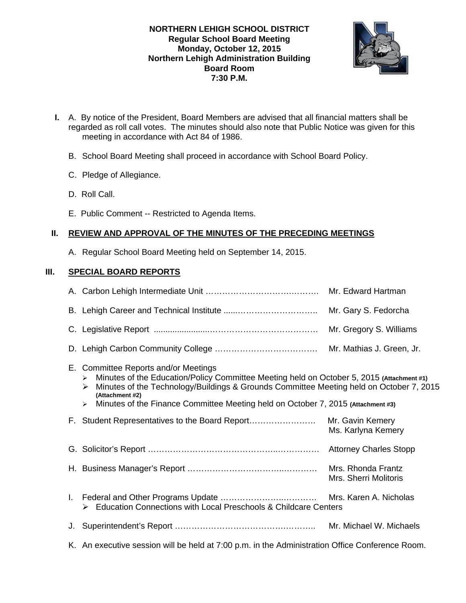### **NORTHERN LEHIGH SCHOOL DISTRICT Regular School Board Meeting Monday, October 12, 2015 Northern Lehigh Administration Building Board Room 7:30 P.M.**



- **I.** A. By notice of the President, Board Members are advised that all financial matters shall be regarded as roll call votes. The minutes should also note that Public Notice was given for this meeting in accordance with Act 84 of 1986.
	- B. School Board Meeting shall proceed in accordance with School Board Policy.
	- C. Pledge of Allegiance.
	- D. Roll Call.
	- E. Public Comment -- Restricted to Agenda Items.

# **II. REVIEW AND APPROVAL OF THE MINUTES OF THE PRECEDING MEETINGS**

A. Regular School Board Meeting held on September 14, 2015.

# **III. SPECIAL BOARD REPORTS**

|    |                                                                                                                                                                                                                                                                                                                                                                   | Mr. Edward Hartman                          |
|----|-------------------------------------------------------------------------------------------------------------------------------------------------------------------------------------------------------------------------------------------------------------------------------------------------------------------------------------------------------------------|---------------------------------------------|
|    |                                                                                                                                                                                                                                                                                                                                                                   | Mr. Gary S. Fedorcha                        |
|    |                                                                                                                                                                                                                                                                                                                                                                   | Mr. Gregory S. Williams                     |
|    |                                                                                                                                                                                                                                                                                                                                                                   | Mr. Mathias J. Green, Jr.                   |
|    | E. Committee Reports and/or Meetings<br>Minutes of the Education/Policy Committee Meeting held on October 5, 2015 (Attachment #1)<br>➤<br>Minutes of the Technology/Buildings & Grounds Committee Meeting held on October 7, 2015<br>(Attachment #2)<br>Minutes of the Finance Committee Meeting held on October 7, 2015 (Attachment #3)<br>$\blacktriangleright$ |                                             |
|    | F. Student Representatives to the Board Report                                                                                                                                                                                                                                                                                                                    | Mr. Gavin Kemery<br>Ms. Karlyna Kemery      |
|    |                                                                                                                                                                                                                                                                                                                                                                   |                                             |
|    |                                                                                                                                                                                                                                                                                                                                                                   | Mrs. Rhonda Frantz<br>Mrs. Sherri Molitoris |
|    | Education Connections with Local Preschools & Childcare Centers                                                                                                                                                                                                                                                                                                   |                                             |
| J. |                                                                                                                                                                                                                                                                                                                                                                   | Mr. Michael W. Michaels                     |
|    | K. An executive session will be held at 7:00 p.m. in the Administration Office Conference Room.                                                                                                                                                                                                                                                                   |                                             |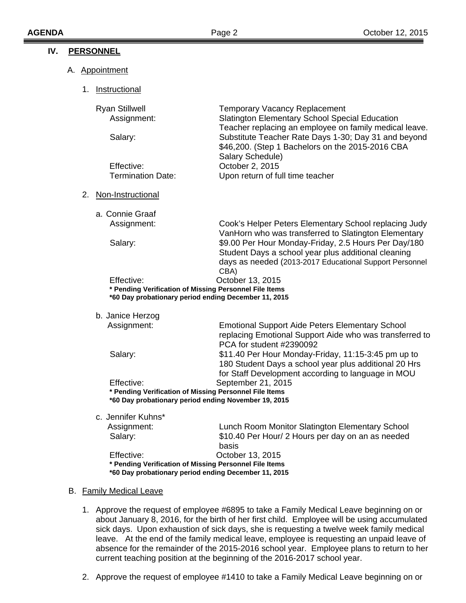| IV. | <b>PERSONNEL</b>                                                                                                                                   |                                                                                                                                                                                |  |  |  |
|-----|----------------------------------------------------------------------------------------------------------------------------------------------------|--------------------------------------------------------------------------------------------------------------------------------------------------------------------------------|--|--|--|
|     | A. Appointment                                                                                                                                     |                                                                                                                                                                                |  |  |  |
|     | 1.<br>Instructional                                                                                                                                |                                                                                                                                                                                |  |  |  |
|     | <b>Ryan Stillwell</b><br>Assignment:                                                                                                               | <b>Temporary Vacancy Replacement</b><br>Slatington Elementary School Special Education<br>Teacher replacing an employee on family medical leave.                               |  |  |  |
|     | Salary:                                                                                                                                            | Substitute Teacher Rate Days 1-30; Day 31 and beyond<br>\$46,200. (Step 1 Bachelors on the 2015-2016 CBA<br>Salary Schedule)                                                   |  |  |  |
|     | Effective:<br><b>Termination Date:</b>                                                                                                             | October 2, 2015<br>Upon return of full time teacher                                                                                                                            |  |  |  |
|     | 2.<br>Non-Instructional                                                                                                                            |                                                                                                                                                                                |  |  |  |
|     | a. Connie Graaf<br>Assignment:                                                                                                                     | Cook's Helper Peters Elementary School replacing Judy<br>VanHorn who was transferred to Slatington Elementary                                                                  |  |  |  |
|     | Salary:                                                                                                                                            | \$9.00 Per Hour Monday-Friday, 2.5 Hours Per Day/180<br>Student Days a school year plus additional cleaning<br>days as needed (2013-2017 Educational Support Personnel<br>CBA) |  |  |  |
|     | Effective:<br>October 13, 2015<br>* Pending Verification of Missing Personnel File Items<br>*60 Day probationary period ending December 11, 2015   |                                                                                                                                                                                |  |  |  |
|     | b. Janice Herzog                                                                                                                                   |                                                                                                                                                                                |  |  |  |
|     | Assignment:                                                                                                                                        | <b>Emotional Support Aide Peters Elementary School</b><br>replacing Emotional Support Aide who was transferred to<br>PCA for student #2390092                                  |  |  |  |
|     | Salary:                                                                                                                                            | \$11.40 Per Hour Monday-Friday, 11:15-3:45 pm up to<br>180 Student Days a school year plus additional 20 Hrs<br>for Staff Development according to language in MOU             |  |  |  |
|     | September 21, 2015<br>Effective:<br>* Pending Verification of Missing Personnel File Items<br>*60 Day probationary period ending November 19, 2015 |                                                                                                                                                                                |  |  |  |
|     | c. Jennifer Kuhns*                                                                                                                                 |                                                                                                                                                                                |  |  |  |
|     | Assignment:<br>Salary:                                                                                                                             | Lunch Room Monitor Slatington Elementary School<br>\$10.40 Per Hour/ 2 Hours per day on an as needed<br>basis                                                                  |  |  |  |
|     | Effective:<br>* Pending Verification of Missing Personnel File Items<br>*60 Day probationary period ending December 11, 2015                       | October 13, 2015                                                                                                                                                               |  |  |  |
|     |                                                                                                                                                    |                                                                                                                                                                                |  |  |  |

### B. Family Medical Leave

- 1. Approve the request of employee #6895 to take a Family Medical Leave beginning on or about January 8, 2016, for the birth of her first child. Employee will be using accumulated sick days. Upon exhaustion of sick days, she is requesting a twelve week family medical leave. At the end of the family medical leave, employee is requesting an unpaid leave of absence for the remainder of the 2015-2016 school year. Employee plans to return to her current teaching position at the beginning of the 2016-2017 school year.
- 2. Approve the request of employee #1410 to take a Family Medical Leave beginning on or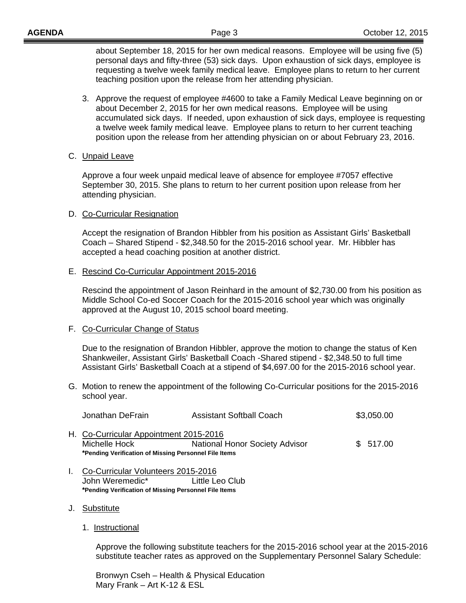about September 18, 2015 for her own medical reasons. Employee will be using five (5) personal days and fifty-three (53) sick days. Upon exhaustion of sick days, employee is requesting a twelve week family medical leave. Employee plans to return to her current teaching position upon the release from her attending physician.

- 3. Approve the request of employee #4600 to take a Family Medical Leave beginning on or about December 2, 2015 for her own medical reasons. Employee will be using accumulated sick days. If needed, upon exhaustion of sick days, employee is requesting a twelve week family medical leave. Employee plans to return to her current teaching position upon the release from her attending physician on or about February 23, 2016.
- C. Unpaid Leave

Approve a four week unpaid medical leave of absence for employee #7057 effective September 30, 2015. She plans to return to her current position upon release from her attending physician.

D. Co-Curricular Resignation

 Accept the resignation of Brandon Hibbler from his position as Assistant Girls' Basketball Coach – Shared Stipend - \$2,348.50 for the 2015-2016 school year. Mr. Hibbler has accepted a head coaching position at another district.

E. Rescind Co-Curricular Appointment 2015-2016

 Rescind the appointment of Jason Reinhard in the amount of \$2,730.00 from his position as Middle School Co-ed Soccer Coach for the 2015-2016 school year which was originally approved at the August 10, 2015 school board meeting.

### F. Co-Curricular Change of Status

Due to the resignation of Brandon Hibbler, approve the motion to change the status of Ken Shankweiler, Assistant Girls' Basketball Coach -Shared stipend - \$2,348.50 to full time Assistant Girls' Basketball Coach at a stipend of \$4,697.00 for the 2015-2016 school year.

G. Motion to renew the appointment of the following Co-Curricular positions for the 2015-2016 school year.

| Jonathan DeFrain | <b>Assistant Softball Coach</b> | \$3,050.00 |
|------------------|---------------------------------|------------|
|------------------|---------------------------------|------------|

- H. Co-Curricular Appointment 2015-2016 Michelle Hock **National Honor Society Advisor** \$ 517.00 **\*Pending Verification of Missing Personnel File Items**
- I. Co-Curricular Volunteers 2015-2016 John Weremedic\* Little Leo Club **\*Pending Verification of Missing Personnel File Items**
- J. Substitute
	- 1. Instructional

 Approve the following substitute teachers for the 2015-2016 school year at the 2015-2016 substitute teacher rates as approved on the Supplementary Personnel Salary Schedule:

 Bronwyn Cseh – Health & Physical Education Mary Frank – Art K-12 & ESL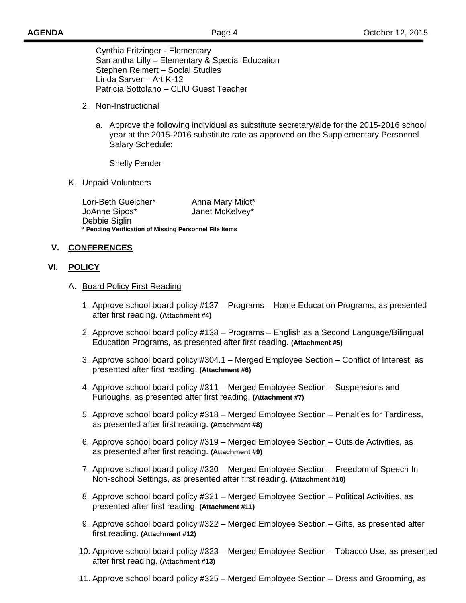Cynthia Fritzinger - Elementary Samantha Lilly – Elementary & Special Education Stephen Reimert – Social Studies Linda Sarver – Art K-12 Patricia Sottolano – CLIU Guest Teacher

- 2. Non-Instructional
	- a. Approve the following individual as substitute secretary/aide for the 2015-2016 school year at the 2015-2016 substitute rate as approved on the Supplementary Personnel Salary Schedule:

Shelly Pender

K. Unpaid Volunteers

Lori-Beth Guelcher\* Anna Mary Milot\* JoAnne Sipos\* Janet McKelvey\* Debbie Siglin **\* Pending Verification of Missing Personnel File Items** 

# **V. CONFERENCES**

### **VI. POLICY**

- A. Board Policy First Reading
	- 1. Approve school board policy #137 Programs Home Education Programs, as presented after first reading. **(Attachment #4)**
	- 2. Approve school board policy #138 Programs English as a Second Language/Bilingual Education Programs, as presented after first reading. **(Attachment #5)**
	- 3. Approve school board policy #304.1 Merged Employee Section Conflict of Interest, as presented after first reading. **(Attachment #6)**
	- 4. Approve school board policy #311 Merged Employee Section Suspensions and Furloughs, as presented after first reading. **(Attachment #7)**
	- 5. Approve school board policy #318 Merged Employee Section Penalties for Tardiness, as presented after first reading. **(Attachment #8)**
	- 6. Approve school board policy #319 Merged Employee Section Outside Activities, as as presented after first reading. **(Attachment #9)**
	- 7. Approve school board policy #320 Merged Employee Section Freedom of Speech In Non-school Settings, as presented after first reading. **(Attachment #10)**
	- 8. Approve school board policy #321 Merged Employee Section Political Activities, as presented after first reading. **(Attachment #11)**
	- 9. Approve school board policy #322 Merged Employee Section Gifts, as presented after first reading. **(Attachment #12)**
	- 10. Approve school board policy #323 Merged Employee Section Tobacco Use, as presented after first reading. **(Attachment #13)**
	- 11. Approve school board policy #325 Merged Employee Section Dress and Grooming, as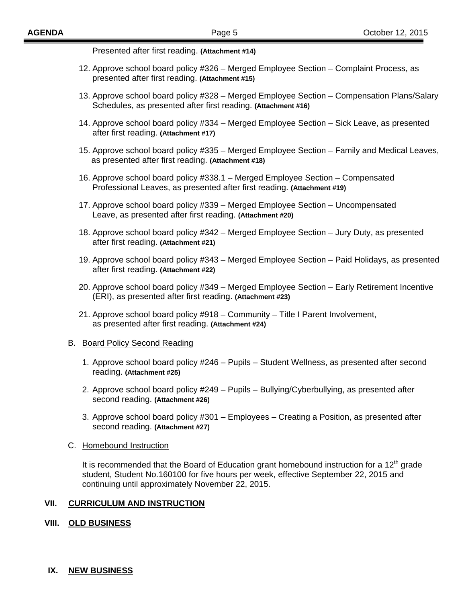Presented after first reading. **(Attachment #14)** 

- 12. Approve school board policy #326 Merged Employee Section Complaint Process, as presented after first reading. **(Attachment #15)**
- 13. Approve school board policy #328 Merged Employee Section Compensation Plans/Salary Schedules, as presented after first reading. **(Attachment #16)**
- 14. Approve school board policy #334 Merged Employee Section Sick Leave, as presented after first reading. **(Attachment #17)**
- 15. Approve school board policy #335 Merged Employee Section Family and Medical Leaves, as presented after first reading. **(Attachment #18)**
- 16. Approve school board policy #338.1 Merged Employee Section Compensated Professional Leaves, as presented after first reading. **(Attachment #19)**
- 17. Approve school board policy #339 Merged Employee Section Uncompensated Leave, as presented after first reading. **(Attachment #20)**
- 18. Approve school board policy #342 Merged Employee Section Jury Duty, as presented after first reading. **(Attachment #21)**
- 19. Approve school board policy #343 Merged Employee Section Paid Holidays, as presented after first reading. **(Attachment #22)**
- 20. Approve school board policy #349 Merged Employee Section Early Retirement Incentive (ERI), as presented after first reading. **(Attachment #23)**
- 21. Approve school board policy #918 Community Title I Parent Involvement, as presented after first reading. **(Attachment #24)**

#### B. Board Policy Second Reading

- 1. Approve school board policy #246 Pupils Student Wellness, as presented after second reading. **(Attachment #25)**
- 2. Approve school board policy #249 Pupils Bullying/Cyberbullying, as presented after second reading. **(Attachment #26)**
- 3. Approve school board policy #301 Employees Creating a Position, as presented after second reading. **(Attachment #27)**

#### C. Homebound Instruction

It is recommended that the Board of Education grant homebound instruction for a  $12<sup>th</sup>$  grade student, Student No.160100 for five hours per week, effective September 22, 2015 and continuing until approximately November 22, 2015.

### **VII. CURRICULUM AND INSTRUCTION**

### **VIII. OLD BUSINESS**

#### **IX. NEW BUSINESS**